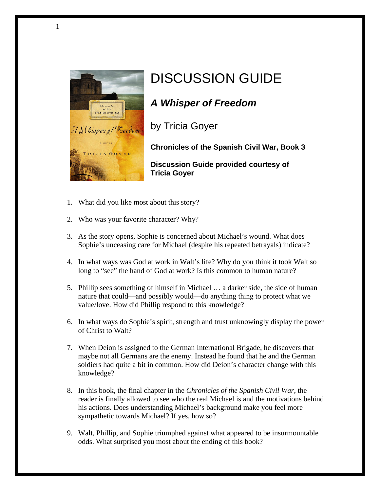

## DISCUSSION GUIDE

## *A Whisper of Freedom*

by Tricia Goyer

**Chronicles of the Spanish Civil War, Book 3**

**Discussion Guide provided courtesy of Tricia Goyer**

- 1. What did you like most about this story?
- 2. Who was your favorite character? Why?
- 3. As the story opens, Sophie is concerned about Michael's wound. What does Sophie's unceasing care for Michael (despite his repeated betrayals) indicate?
- 4. In what ways was God at work in Walt's life? Why do you think it took Walt so long to "see" the hand of God at work? Is this common to human nature?
- 5. Phillip sees something of himself in Michael … a darker side, the side of human nature that could—and possibly would—do anything thing to protect what we value/love. How did Phillip respond to this knowledge?
- 6. In what ways do Sophie's spirit, strength and trust unknowingly display the power of Christ to Walt?
- 7. When Deion is assigned to the German International Brigade, he discovers that maybe not all Germans are the enemy. Instead he found that he and the German soldiers had quite a bit in common. How did Deion's character change with this knowledge?
- 8. In this book, the final chapter in the *Chronicles of the Spanish Civil War*, the reader is finally allowed to see who the real Michael is and the motivations behind his actions. Does understanding Michael's background make you feel more sympathetic towards Michael? If yes, how so?
- 9. Walt, Phillip, and Sophie triumphed against what appeared to be insurmountable odds. What surprised you most about the ending of this book?